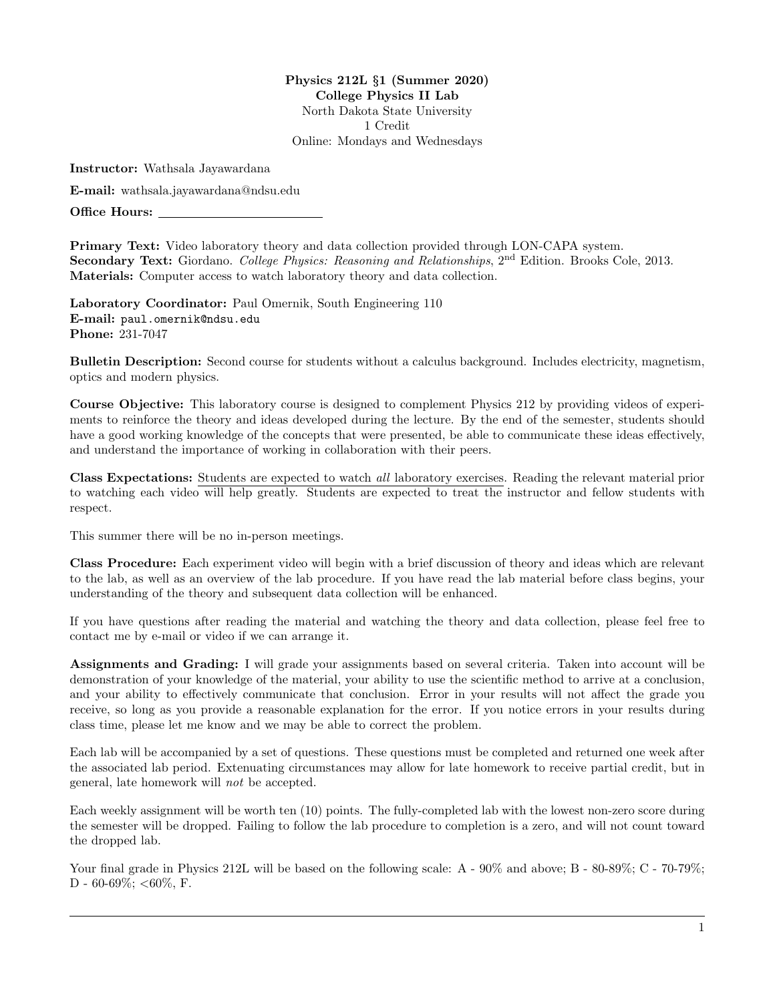Physics 212L §1 (Summer 2020) College Physics II Lab North Dakota State University 1 Credit Online: Mondays and Wednesdays

Instructor: Wathsala Jayawardana

E-mail: wathsala.jayawardana@ndsu.edu

Office Hours:

Primary Text: Video laboratory theory and data collection provided through LON-CAPA system. Secondary Text: Giordano. College Physics: Reasoning and Relationships, 2<sup>nd</sup> Edition. Brooks Cole. 2013. Materials: Computer access to watch laboratory theory and data collection.

Laboratory Coordinator: Paul Omernik, South Engineering 110 E-mail: paul.omernik@ndsu.edu Phone: 231-7047

Bulletin Description: Second course for students without a calculus background. Includes electricity, magnetism, optics and modern physics.

Course Objective: This laboratory course is designed to complement Physics 212 by providing videos of experiments to reinforce the theory and ideas developed during the lecture. By the end of the semester, students should have a good working knowledge of the concepts that were presented, be able to communicate these ideas effectively, and understand the importance of working in collaboration with their peers.

Class Expectations: Students are expected to watch all laboratory exercises. Reading the relevant material prior to watching each video will help greatly. Students are expected to treat the instructor and fellow students with respect.

This summer there will be no in-person meetings.

Class Procedure: Each experiment video will begin with a brief discussion of theory and ideas which are relevant to the lab, as well as an overview of the lab procedure. If you have read the lab material before class begins, your understanding of the theory and subsequent data collection will be enhanced.

If you have questions after reading the material and watching the theory and data collection, please feel free to contact me by e-mail or video if we can arrange it.

Assignments and Grading: I will grade your assignments based on several criteria. Taken into account will be demonstration of your knowledge of the material, your ability to use the scientific method to arrive at a conclusion, and your ability to effectively communicate that conclusion. Error in your results will not affect the grade you receive, so long as you provide a reasonable explanation for the error. If you notice errors in your results during class time, please let me know and we may be able to correct the problem.

Each lab will be accompanied by a set of questions. These questions must be completed and returned one week after the associated lab period. Extenuating circumstances may allow for late homework to receive partial credit, but in general, late homework will not be accepted.

Each weekly assignment will be worth ten (10) points. The fully-completed lab with the lowest non-zero score during the semester will be dropped. Failing to follow the lab procedure to completion is a zero, and will not count toward the dropped lab.

Your final grade in Physics 212L will be based on the following scale: A -  $90\%$  and above; B -  $80-89\%$ ; C -  $70-79\%$ ; D - 60-69%; <60%, F.